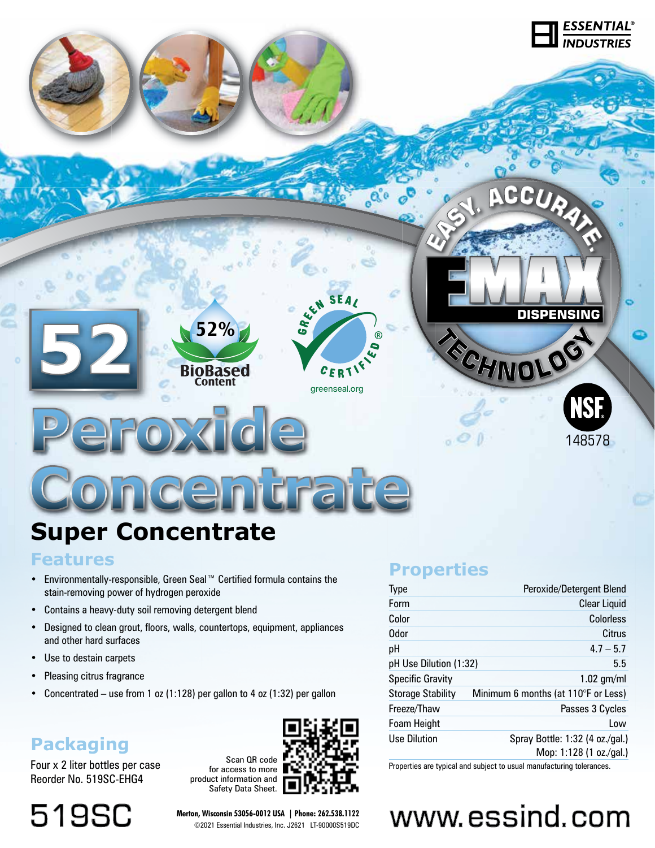

# **Super Concentrate**

### **Features**

- Environmentally-responsible, Green Seal™ Certified formula contains the stain-removing power of hydrogen peroxide
- Contains a heavy-duty soil removing detergent blend
- Designed to clean grout, floors, walls, countertops, equipment, appliances and other hard surfaces
- Use to destain carpets
- Pleasing citrus fragrance
- Concentrated use from 1 oz (1:128) per gallon to 4 oz (1:32) per gallon

# **Packaging**

Four x 2 liter bottles per case Reorder No. 519SC-EHG4

**519SC** 

Scan QR code for access to more product information and Safety Data Sheet.



**Merton, Wisconsin 53056-0012 USA | Phone: 262.538.1122** ©2021 Essential Industries, Inc. J2621 LT-90000S519DC

# **Properties**

| Type                     | Peroxide/Detergent Blend            |
|--------------------------|-------------------------------------|
| Form                     | <b>Clear Liquid</b>                 |
| Color                    | Colorless                           |
| <b>Odor</b>              | Citrus                              |
| рH                       | $4.7 - 5.7$                         |
| pH Use Dilution (1:32)   | 5.5                                 |
| <b>Specific Gravity</b>  | $1.02$ gm/ml                        |
| <b>Storage Stability</b> | Minimum 6 months (at 110°F or Less) |
| Freeze/Thaw              | Passes 3 Cycles                     |
| Foam Height              | Low                                 |
| <b>Use Dilution</b>      | Spray Bottle: 1:32 (4 oz./gal.)     |
|                          | Mop: 1:128 (1 oz./gal.)             |

Properties are typical and subject to usual manufacturing tolerances.

# www.essind.com